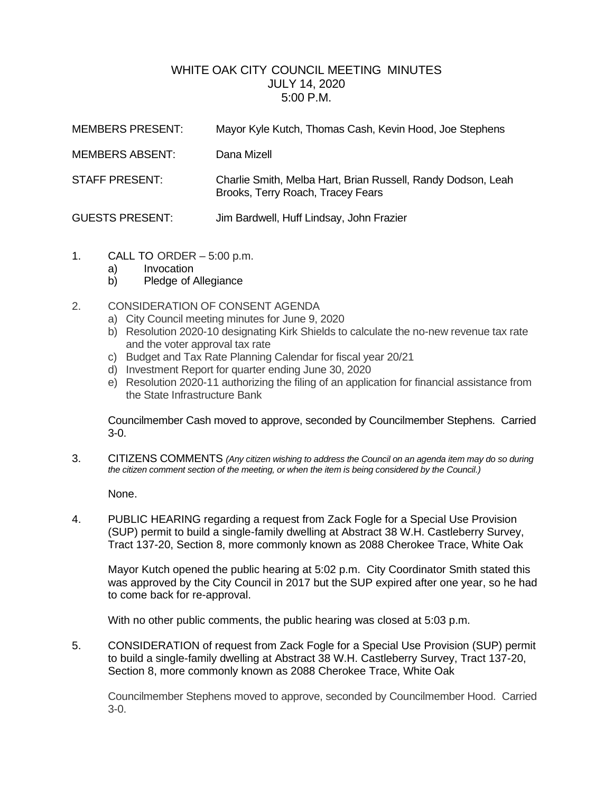## WHITE OAK CITY COUNCIL MEETING MINUTES JULY 14, 2020 5:00 P.M.

| <b>MEMBERS PRESENT:</b> | Mayor Kyle Kutch, Thomas Cash, Kevin Hood, Joe Stephens                                           |
|-------------------------|---------------------------------------------------------------------------------------------------|
| <b>MEMBERS ABSENT:</b>  | Dana Mizell                                                                                       |
| STAFF PRESENT:          | Charlie Smith, Melba Hart, Brian Russell, Randy Dodson, Leah<br>Brooks, Terry Roach, Tracey Fears |
| <b>GUESTS PRESENT:</b>  | Jim Bardwell, Huff Lindsay, John Frazier                                                          |

- 1. CALL TO ORDER 5:00 p.m.
	- a) Invocation
	- b) Pledge of Allegiance

## 2. CONSIDERATION OF CONSENT AGENDA

- a) City Council meeting minutes for June 9, 2020
- b) Resolution 2020-10 designating Kirk Shields to calculate the no-new revenue tax rate and the voter approval tax rate
- c) Budget and Tax Rate Planning Calendar for fiscal year 20/21
- d) Investment Report for quarter ending June 30, 2020
- e) Resolution 2020-11 authorizing the filing of an application for financial assistance from the State Infrastructure Bank

Councilmember Cash moved to approve, seconded by Councilmember Stephens. Carried 3-0.

3. CITIZENS COMMENTS *(Any citizen wishing to address the Council on an agenda item may do so during the citizen comment section of the meeting, or when the item is being considered by the Council.)*

None.

4. PUBLIC HEARING regarding a request from Zack Fogle for a Special Use Provision (SUP) permit to build a single-family dwelling at Abstract 38 W.H. Castleberry Survey, Tract 137-20, Section 8, more commonly known as 2088 Cherokee Trace, White Oak

Mayor Kutch opened the public hearing at 5:02 p.m. City Coordinator Smith stated this was approved by the City Council in 2017 but the SUP expired after one year, so he had to come back for re-approval.

With no other public comments, the public hearing was closed at 5:03 p.m.

5. CONSIDERATION of request from Zack Fogle for a Special Use Provision (SUP) permit to build a single-family dwelling at Abstract 38 W.H. Castleberry Survey, Tract 137-20, Section 8, more commonly known as 2088 Cherokee Trace, White Oak

Councilmember Stephens moved to approve, seconded by Councilmember Hood. Carried 3-0.